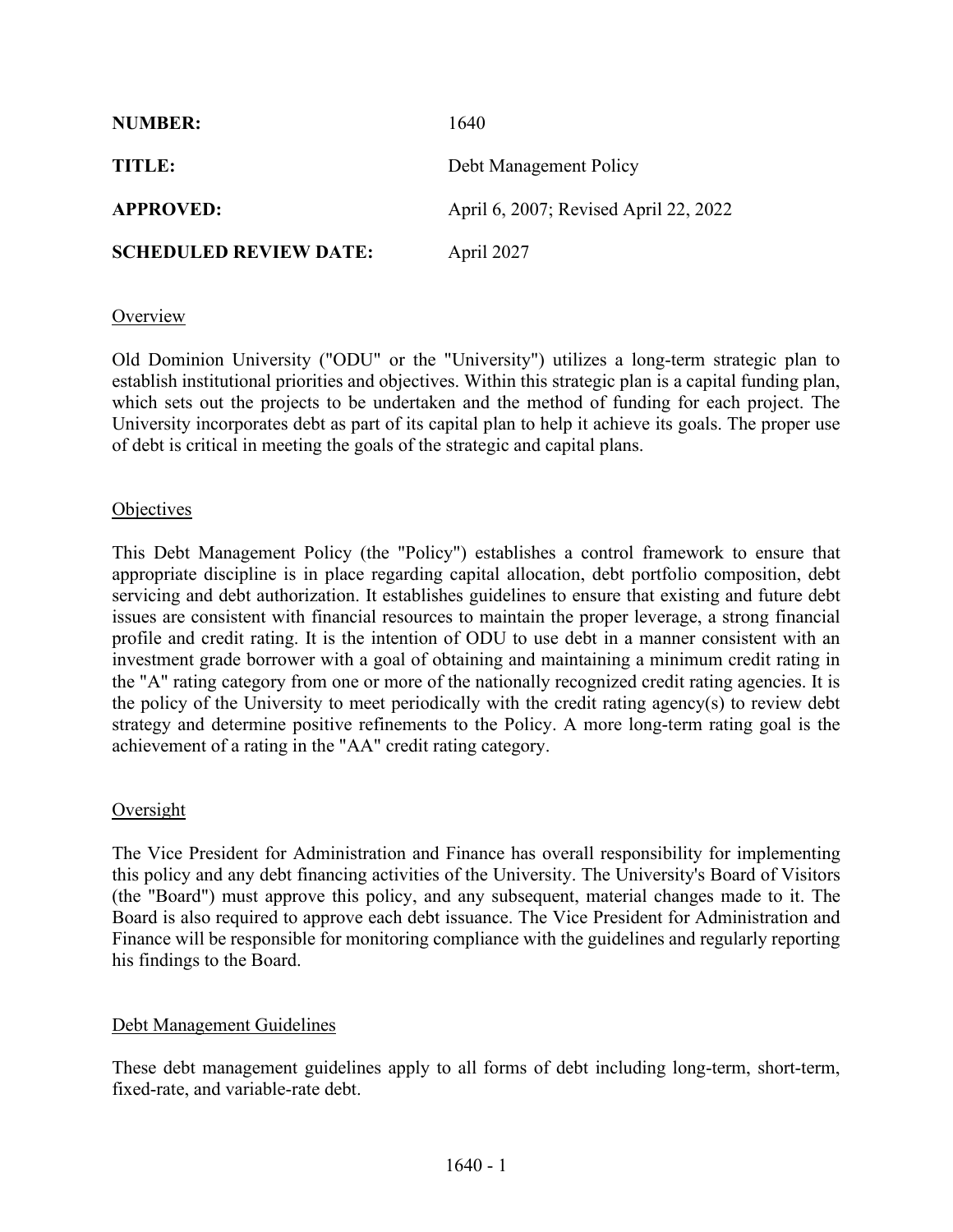| <b>NUMBER:</b>                | 1640                                  |
|-------------------------------|---------------------------------------|
| TITLE:                        | Debt Management Policy                |
| <b>APPROVED:</b>              | April 6, 2007; Revised April 22, 2022 |
| <b>SCHEDULED REVIEW DATE:</b> | April 2027                            |

## Overview

Old Dominion University ("ODU" or the "University") utilizes a long-term strategic plan to establish institutional priorities and objectives. Within this strategic plan is a capital funding plan, which sets out the projects to be undertaken and the method of funding for each project. The University incorporates debt as part of its capital plan to help it achieve its goals. The proper use of debt is critical in meeting the goals of the strategic and capital plans.

## **Objectives**

This Debt Management Policy (the "Policy") establishes a control framework to ensure that appropriate discipline is in place regarding capital allocation, debt portfolio composition, debt servicing and debt authorization. It establishes guidelines to ensure that existing and future debt issues are consistent with financial resources to maintain the proper leverage, a strong financial profile and credit rating. It is the intention of ODU to use debt in a manner consistent with an investment grade borrower with a goal of obtaining and maintaining a minimum credit rating in the "A" rating category from one or more of the nationally recognized credit rating agencies. It is the policy of the University to meet periodically with the credit rating agency(s) to review debt strategy and determine positive refinements to the Policy. A more long-term rating goal is the achievement of a rating in the "AA" credit rating category.

## **Oversight**

The Vice President for Administration and Finance has overall responsibility for implementing this policy and any debt financing activities of the University. The University's Board of Visitors (the "Board") must approve this policy, and any subsequent, material changes made to it. The Board is also required to approve each debt issuance. The Vice President for Administration and Finance will be responsible for monitoring compliance with the guidelines and regularly reporting his findings to the Board.

## Debt Management Guidelines

These debt management guidelines apply to all forms of debt including long-term, short-term, fixed-rate, and variable-rate debt.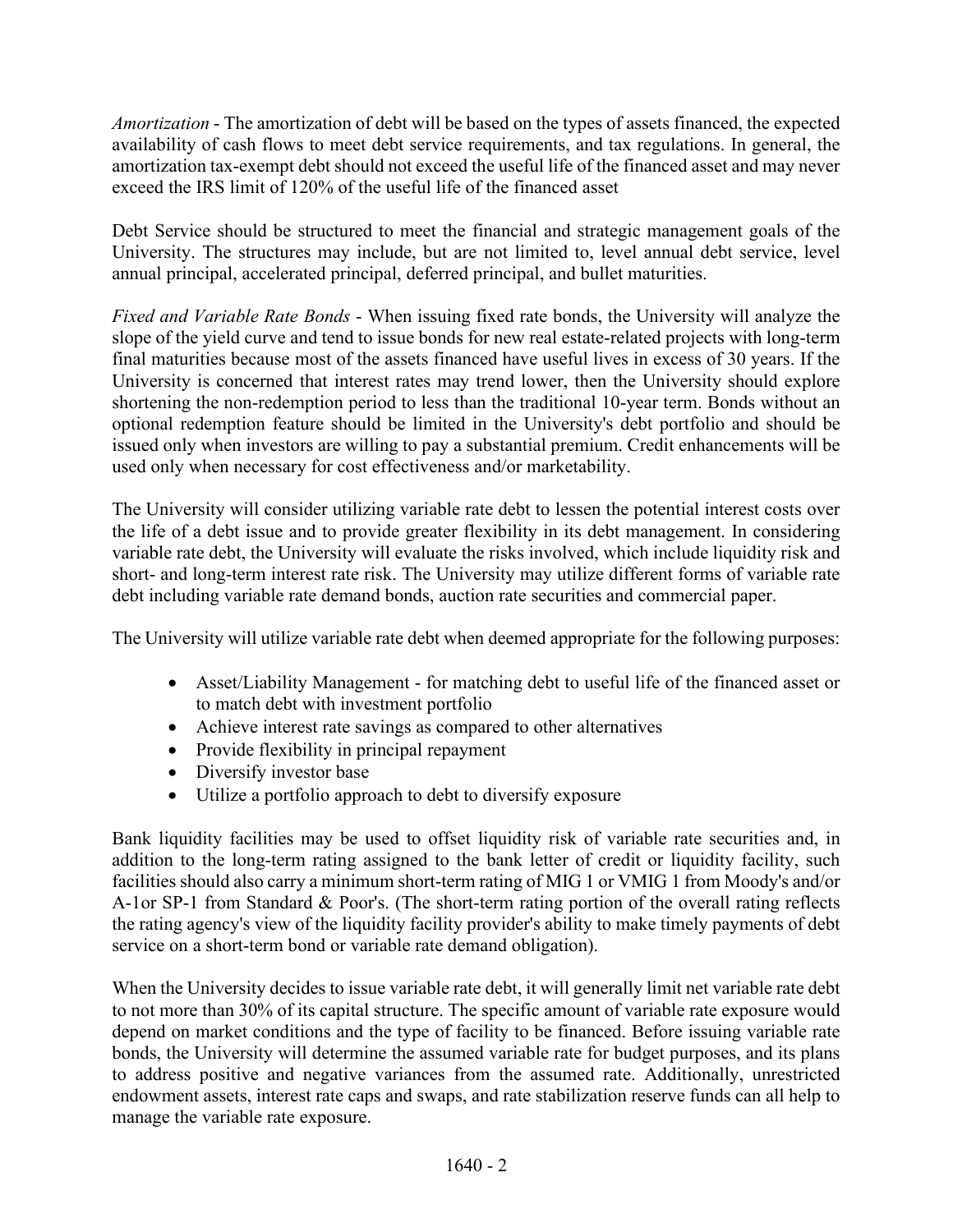*Amortization* - The amortization of debt will be based on the types of assets financed, the expected availability of cash flows to meet debt service requirements, and tax regulations. In general, the amortization tax-exempt debt should not exceed the useful life of the financed asset and may never exceed the IRS limit of 120% of the useful life of the financed asset

Debt Service should be structured to meet the financial and strategic management goals of the University. The structures may include, but are not limited to, level annual debt service, level annual principal, accelerated principal, deferred principal, and bullet maturities.

*Fixed and Variable Rate Bonds* - When issuing fixed rate bonds, the University will analyze the slope of the yield curve and tend to issue bonds for new real estate-related projects with long-term final maturities because most of the assets financed have useful lives in excess of 30 years. If the University is concerned that interest rates may trend lower, then the University should explore shortening the non-redemption period to less than the traditional 10-year term. Bonds without an optional redemption feature should be limited in the University's debt portfolio and should be issued only when investors are willing to pay a substantial premium. Credit enhancements will be used only when necessary for cost effectiveness and/or marketability.

The University will consider utilizing variable rate debt to lessen the potential interest costs over the life of a debt issue and to provide greater flexibility in its debt management. In considering variable rate debt, the University will evaluate the risks involved, which include liquidity risk and short- and long-term interest rate risk. The University may utilize different forms of variable rate debt including variable rate demand bonds, auction rate securities and commercial paper.

The University will utilize variable rate debt when deemed appropriate for the following purposes:

- Asset/Liability Management for matching debt to useful life of the financed asset or to match debt with investment portfolio
- Achieve interest rate savings as compared to other alternatives
- Provide flexibility in principal repayment
- Diversify investor base
- Utilize a portfolio approach to debt to diversify exposure

Bank liquidity facilities may be used to offset liquidity risk of variable rate securities and, in addition to the long-term rating assigned to the bank letter of credit or liquidity facility, such facilities should also carry a minimum short-term rating of MIG 1 or VMIG 1 from Moody's and/or A-1or SP-1 from Standard & Poor's. (The short-term rating portion of the overall rating reflects the rating agency's view of the liquidity facility provider's ability to make timely payments of debt service on a short-term bond or variable rate demand obligation).

When the University decides to issue variable rate debt, it will generally limit net variable rate debt to not more than 30% of its capital structure. The specific amount of variable rate exposure would depend on market conditions and the type of facility to be financed. Before issuing variable rate bonds, the University will determine the assumed variable rate for budget purposes, and its plans to address positive and negative variances from the assumed rate. Additionally, unrestricted endowment assets, interest rate caps and swaps, and rate stabilization reserve funds can all help to manage the variable rate exposure.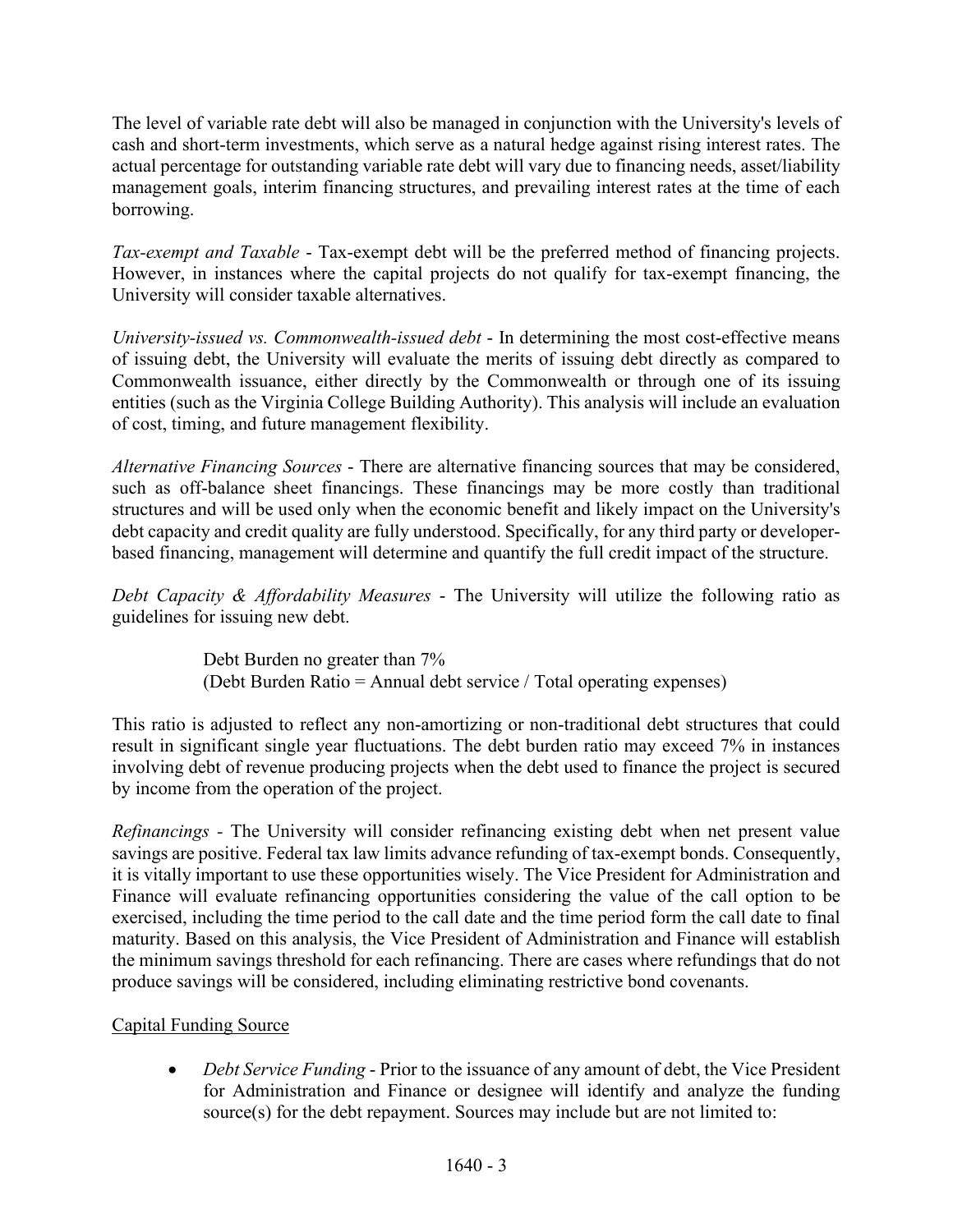The level of variable rate debt will also be managed in conjunction with the University's levels of cash and short-term investments, which serve as a natural hedge against rising interest rates. The actual percentage for outstanding variable rate debt will vary due to financing needs, asset/liability management goals, interim financing structures, and prevailing interest rates at the time of each borrowing.

*Tax-exempt and Taxable* - Tax-exempt debt will be the preferred method of financing projects. However, in instances where the capital projects do not qualify for tax-exempt financing, the University will consider taxable alternatives.

*University-issued vs. Commonwealth-issued debt* - In determining the most cost-effective means of issuing debt, the University will evaluate the merits of issuing debt directly as compared to Commonwealth issuance, either directly by the Commonwealth or through one of its issuing entities (such as the Virginia College Building Authority). This analysis will include an evaluation of cost, timing, and future management flexibility.

*Alternative Financing Sources* - There are alternative financing sources that may be considered, such as off-balance sheet financings. These financings may be more costly than traditional structures and will be used only when the economic benefit and likely impact on the University's debt capacity and credit quality are fully understood. Specifically, for any third party or developerbased financing, management will determine and quantify the full credit impact of the structure.

*Debt Capacity & Affordability Measures* - The University will utilize the following ratio as guidelines for issuing new debt.

> Debt Burden no greater than 7% (Debt Burden Ratio = Annual debt service / Total operating expenses)

This ratio is adjusted to reflect any non-amortizing or non-traditional debt structures that could result in significant single year fluctuations. The debt burden ratio may exceed 7% in instances involving debt of revenue producing projects when the debt used to finance the project is secured by income from the operation of the project.

*Refinancings -* The University will consider refinancing existing debt when net present value savings are positive. Federal tax law limits advance refunding of tax-exempt bonds. Consequently, it is vitally important to use these opportunities wisely. The Vice President for Administration and Finance will evaluate refinancing opportunities considering the value of the call option to be exercised, including the time period to the call date and the time period form the call date to final maturity. Based on this analysis, the Vice President of Administration and Finance will establish the minimum savings threshold for each refinancing. There are cases where refundings that do not produce savings will be considered, including eliminating restrictive bond covenants.

## Capital Funding Source

• *Debt Service Funding* - Prior to the issuance of any amount of debt, the Vice President for Administration and Finance or designee will identify and analyze the funding source(s) for the debt repayment. Sources may include but are not limited to: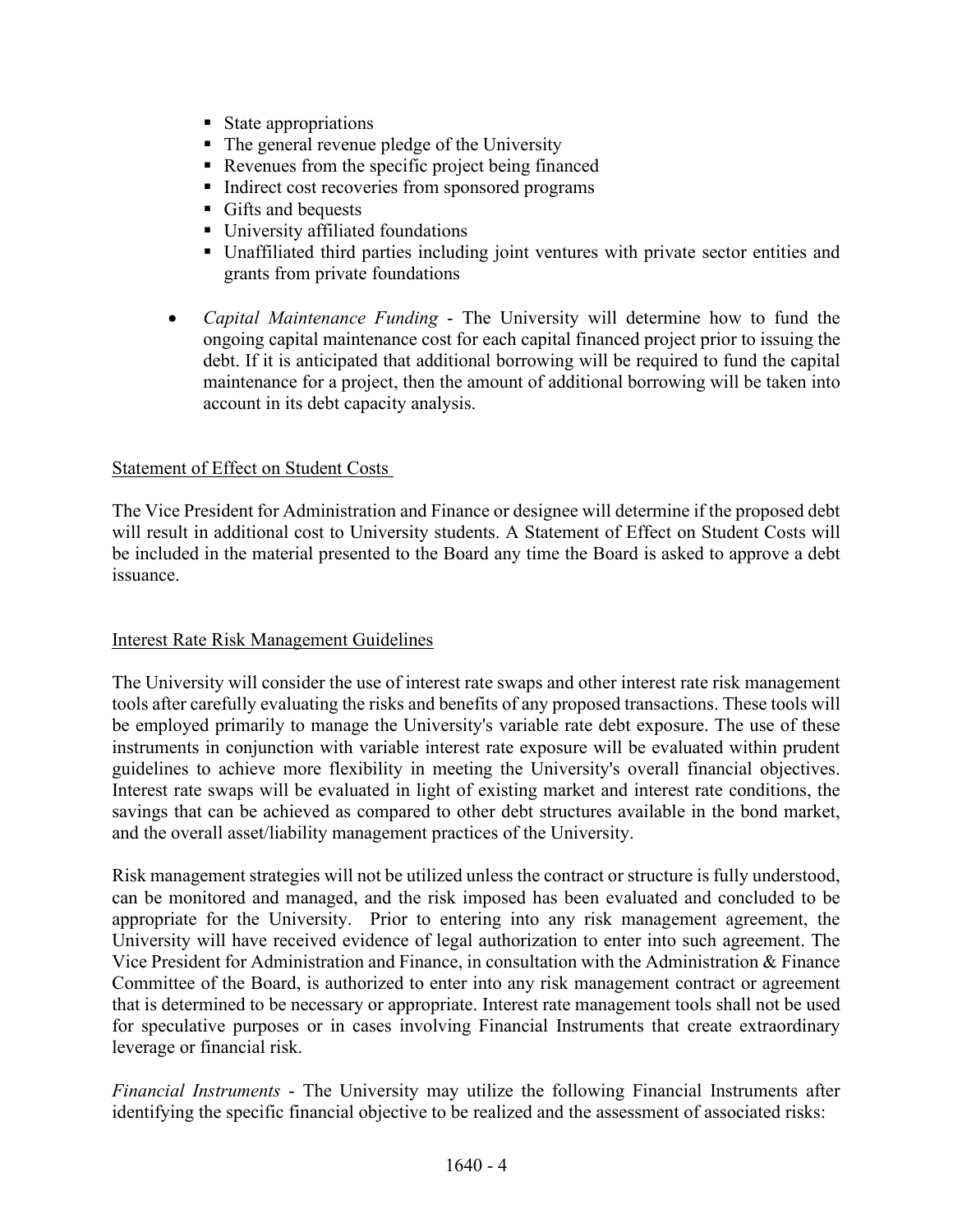- State appropriations
- The general revenue pledge of the University
- Revenues from the specific project being financed
- Indirect cost recoveries from sponsored programs
- Gifts and bequests
- **University affiliated foundations**
- Unaffiliated third parties including joint ventures with private sector entities and grants from private foundations
- *Capital Maintenance Funding* The University will determine how to fund the ongoing capital maintenance cost for each capital financed project prior to issuing the debt. If it is anticipated that additional borrowing will be required to fund the capital maintenance for a project, then the amount of additional borrowing will be taken into account in its debt capacity analysis.

## Statement of Effect on Student Costs

The Vice President for Administration and Finance or designee will determine if the proposed debt will result in additional cost to University students. A Statement of Effect on Student Costs will be included in the material presented to the Board any time the Board is asked to approve a debt issuance.

#### Interest Rate Risk Management Guidelines

The University will consider the use of interest rate swaps and other interest rate risk management tools after carefully evaluating the risks and benefits of any proposed transactions. These tools will be employed primarily to manage the University's variable rate debt exposure. The use of these instruments in conjunction with variable interest rate exposure will be evaluated within prudent guidelines to achieve more flexibility in meeting the University's overall financial objectives. Interest rate swaps will be evaluated in light of existing market and interest rate conditions, the savings that can be achieved as compared to other debt structures available in the bond market, and the overall asset/liability management practices of the University.

Risk management strategies will not be utilized unless the contract or structure is fully understood, can be monitored and managed, and the risk imposed has been evaluated and concluded to be appropriate for the University. Prior to entering into any risk management agreement, the University will have received evidence of legal authorization to enter into such agreement. The Vice President for Administration and Finance, in consultation with the Administration & Finance Committee of the Board, is authorized to enter into any risk management contract or agreement that is determined to be necessary or appropriate. Interest rate management tools shall not be used for speculative purposes or in cases involving Financial Instruments that create extraordinary leverage or financial risk.

*Financial Instruments* - The University may utilize the following Financial Instruments after identifying the specific financial objective to be realized and the assessment of associated risks: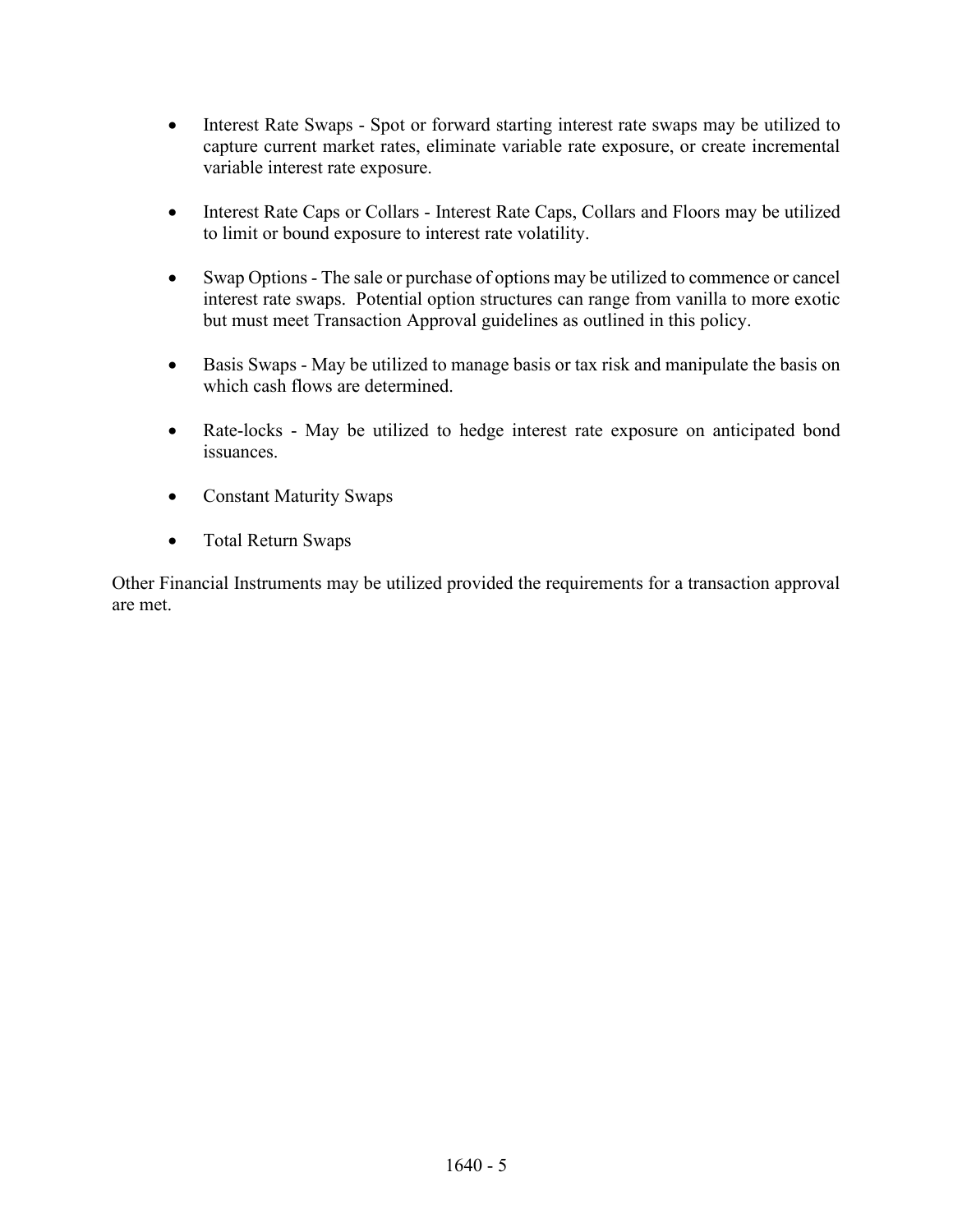- Interest Rate Swaps Spot or forward starting interest rate swaps may be utilized to capture current market rates, eliminate variable rate exposure, or create incremental variable interest rate exposure.
- Interest Rate Caps or Collars Interest Rate Caps, Collars and Floors may be utilized to limit or bound exposure to interest rate volatility.
- Swap Options The sale or purchase of options may be utilized to commence or cancel interest rate swaps. Potential option structures can range from vanilla to more exotic but must meet Transaction Approval guidelines as outlined in this policy.
- Basis Swaps May be utilized to manage basis or tax risk and manipulate the basis on which cash flows are determined.
- Rate-locks May be utilized to hedge interest rate exposure on anticipated bond issuances.
- Constant Maturity Swaps
- Total Return Swaps

Other Financial Instruments may be utilized provided the requirements for a transaction approval are met.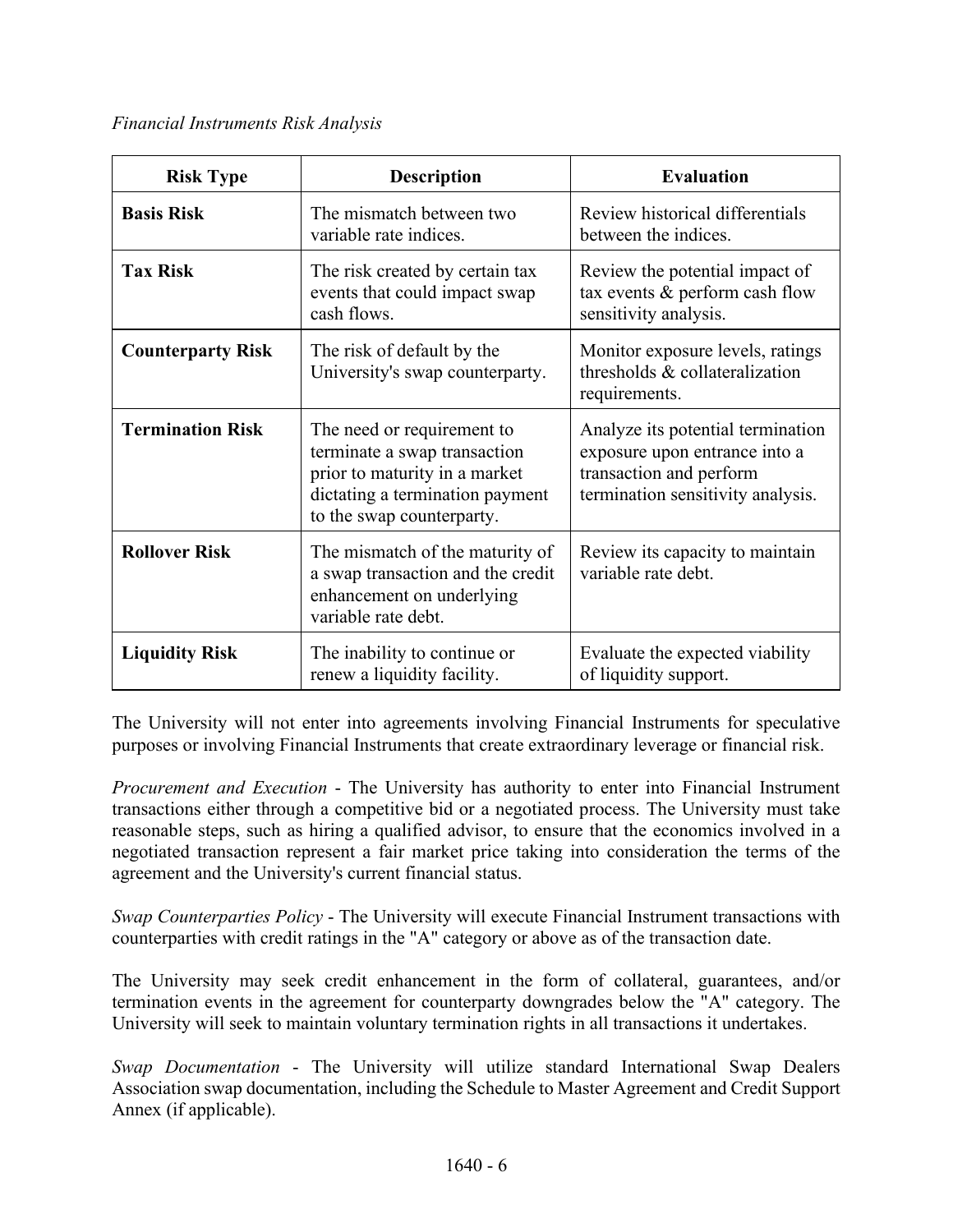*Financial Instruments Risk Analysis*

| <b>Risk Type</b>         | <b>Description</b>                                                                                                                                          | <b>Evaluation</b>                                                                                                                  |
|--------------------------|-------------------------------------------------------------------------------------------------------------------------------------------------------------|------------------------------------------------------------------------------------------------------------------------------------|
| <b>Basis Risk</b>        | The mismatch between two<br>variable rate indices.                                                                                                          | Review historical differentials<br>between the indices.                                                                            |
| <b>Tax Risk</b>          | The risk created by certain tax<br>events that could impact swap<br>cash flows.                                                                             | Review the potential impact of<br>tax events & perform cash flow<br>sensitivity analysis.                                          |
| <b>Counterparty Risk</b> | The risk of default by the<br>University's swap counterparty.                                                                                               | Monitor exposure levels, ratings<br>thresholds & collateralization<br>requirements.                                                |
| <b>Termination Risk</b>  | The need or requirement to<br>terminate a swap transaction<br>prior to maturity in a market<br>dictating a termination payment<br>to the swap counterparty. | Analyze its potential termination<br>exposure upon entrance into a<br>transaction and perform<br>termination sensitivity analysis. |
| <b>Rollover Risk</b>     | The mismatch of the maturity of<br>a swap transaction and the credit<br>enhancement on underlying<br>variable rate debt.                                    | Review its capacity to maintain<br>variable rate debt.                                                                             |
| <b>Liquidity Risk</b>    | The inability to continue or<br>renew a liquidity facility.                                                                                                 | Evaluate the expected viability<br>of liquidity support.                                                                           |

The University will not enter into agreements involving Financial Instruments for speculative purposes or involving Financial Instruments that create extraordinary leverage or financial risk.

*Procurement and Execution* - The University has authority to enter into Financial Instrument transactions either through a competitive bid or a negotiated process. The University must take reasonable steps, such as hiring a qualified advisor, to ensure that the economics involved in a negotiated transaction represent a fair market price taking into consideration the terms of the agreement and the University's current financial status.

*Swap Counterparties Policy* - The University will execute Financial Instrument transactions with counterparties with credit ratings in the "A" category or above as of the transaction date.

The University may seek credit enhancement in the form of collateral, guarantees, and/or termination events in the agreement for counterparty downgrades below the "A" category. The University will seek to maintain voluntary termination rights in all transactions it undertakes.

*Swap Documentation* - The University will utilize standard International Swap Dealers Association swap documentation, including the Schedule to Master Agreement and Credit Support Annex (if applicable).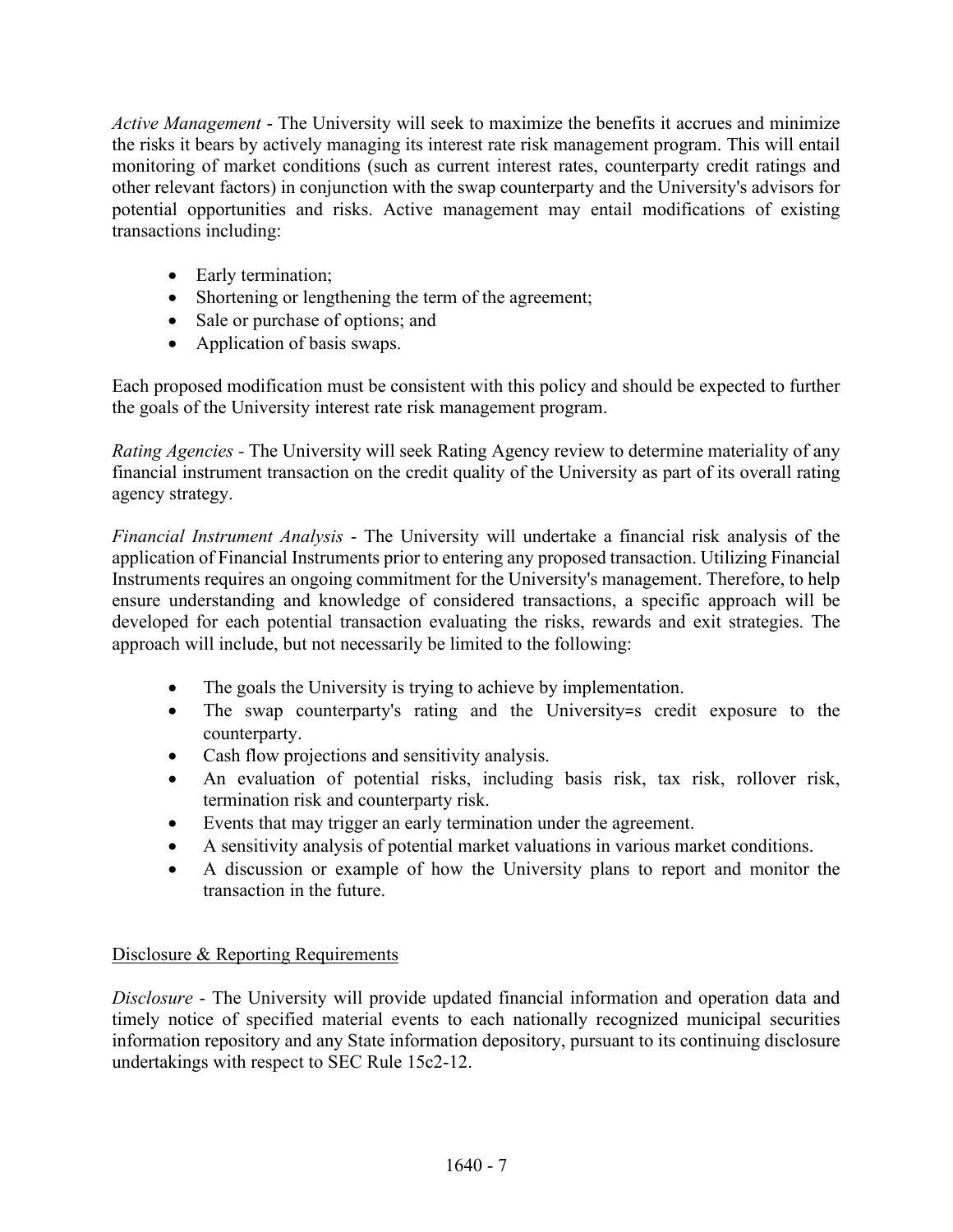*Active Management* - The University will seek to maximize the benefits it accrues and minimize the risks it bears by actively managing its interest rate risk management program. This will entail monitoring of market conditions (such as current interest rates, counterparty credit ratings and other relevant factors) in conjunction with the swap counterparty and the University's advisors for potential opportunities and risks. Active management may entail modifications of existing transactions including:

- Early termination;
- Shortening or lengthening the term of the agreement;
- Sale or purchase of options; and
- Application of basis swaps.

Each proposed modification must be consistent with this policy and should be expected to further the goals of the University interest rate risk management program.

*Rating Agencies -* The University will seek Rating Agency review to determine materiality of any financial instrument transaction on the credit quality of the University as part of its overall rating agency strategy.

*Financial Instrument Analysis* - The University will undertake a financial risk analysis of the application of Financial Instruments prior to entering any proposed transaction. Utilizing Financial Instruments requires an ongoing commitment for the University's management. Therefore, to help ensure understanding and knowledge of considered transactions, a specific approach will be developed for each potential transaction evaluating the risks, rewards and exit strategies. The approach will include, but not necessarily be limited to the following:

- The goals the University is trying to achieve by implementation.
- The swap counterparty's rating and the University=s credit exposure to the counterparty.
- Cash flow projections and sensitivity analysis.
- An evaluation of potential risks, including basis risk, tax risk, rollover risk, termination risk and counterparty risk.
- Events that may trigger an early termination under the agreement.
- A sensitivity analysis of potential market valuations in various market conditions.
- A discussion or example of how the University plans to report and monitor the transaction in the future.

# Disclosure & Reporting Requirements

*Disclosure* - The University will provide updated financial information and operation data and timely notice of specified material events to each nationally recognized municipal securities information repository and any State information depository, pursuant to its continuing disclosure undertakings with respect to SEC Rule 15c2-12.